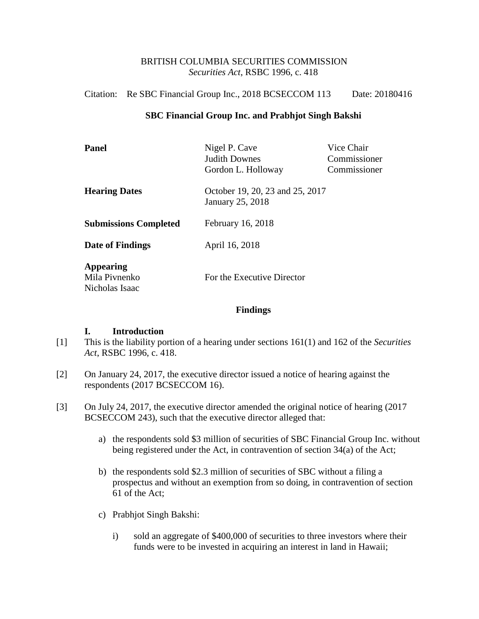## BRITISH COLUMBIA SECURITIES COMMISSION *Securities Act*, RSBC 1996, c. 418

### Citation: Re SBC Financial Group Inc., 2018 BCSECCOM 113 Date: 20180416

### **SBC Financial Group Inc. and Prabhjot Singh Bakshi**

| <b>Panel</b>                                        | Nigel P. Cave<br><b>Judith Downes</b>                      | Vice Chair<br>Commissioner |
|-----------------------------------------------------|------------------------------------------------------------|----------------------------|
|                                                     | Gordon L. Holloway                                         | Commissioner               |
| <b>Hearing Dates</b>                                | October 19, 20, 23 and 25, 2017<br><b>January 25, 2018</b> |                            |
| <b>Submissions Completed</b>                        | February 16, 2018                                          |                            |
| Date of Findings                                    | April 16, 2018                                             |                            |
| <b>Appearing</b><br>Mila Pivnenko<br>Nicholas Isaac | For the Executive Director                                 |                            |

#### **Findings**

#### **I. Introduction**

- [1] This is the liability portion of a hearing under sections 161(1) and 162 of the *Securities Act*, RSBC 1996, c. 418.
- [2] On January 24, 2017, the executive director issued a notice of hearing against the respondents (2017 BCSECCOM 16).
- [3] On July 24, 2017, the executive director amended the original notice of hearing (2017 BCSECCOM 243), such that the executive director alleged that:
	- a) the respondents sold \$3 million of securities of SBC Financial Group Inc. without being registered under the Act, in contravention of section 34(a) of the Act;
	- b) the respondents sold \$2.3 million of securities of SBC without a filing a prospectus and without an exemption from so doing, in contravention of section 61 of the Act;
	- c) Prabhjot Singh Bakshi:
		- i) sold an aggregate of \$400,000 of securities to three investors where their funds were to be invested in acquiring an interest in land in Hawaii;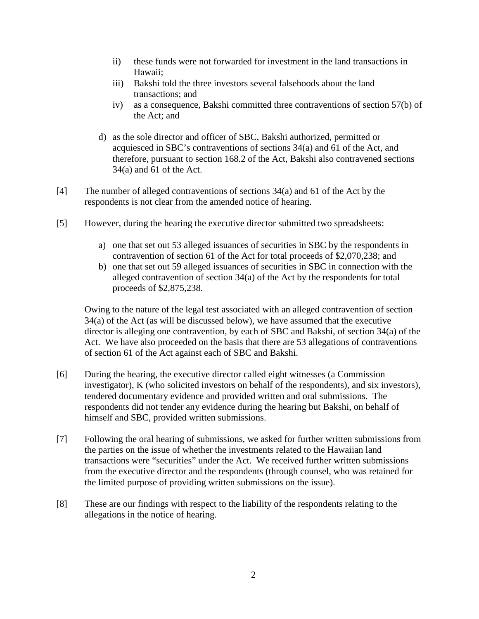- ii) these funds were not forwarded for investment in the land transactions in Hawaii;
- iii) Bakshi told the three investors several falsehoods about the land transactions; and
- iv) as a consequence, Bakshi committed three contraventions of section 57(b) of the Act; and
- d) as the sole director and officer of SBC, Bakshi authorized, permitted or acquiesced in SBC's contraventions of sections 34(a) and 61 of the Act, and therefore, pursuant to section 168.2 of the Act, Bakshi also contravened sections 34(a) and 61 of the Act.
- [4] The number of alleged contraventions of sections 34(a) and 61 of the Act by the respondents is not clear from the amended notice of hearing.
- [5] However, during the hearing the executive director submitted two spreadsheets:
	- a) one that set out 53 alleged issuances of securities in SBC by the respondents in contravention of section 61 of the Act for total proceeds of \$2,070,238; and
	- b) one that set out 59 alleged issuances of securities in SBC in connection with the alleged contravention of section 34(a) of the Act by the respondents for total proceeds of \$2,875,238.

Owing to the nature of the legal test associated with an alleged contravention of section 34(a) of the Act (as will be discussed below), we have assumed that the executive director is alleging one contravention, by each of SBC and Bakshi, of section 34(a) of the Act. We have also proceeded on the basis that there are 53 allegations of contraventions of section 61 of the Act against each of SBC and Bakshi.

- [6] During the hearing, the executive director called eight witnesses (a Commission investigator), K (who solicited investors on behalf of the respondents), and six investors), tendered documentary evidence and provided written and oral submissions. The respondents did not tender any evidence during the hearing but Bakshi, on behalf of himself and SBC, provided written submissions.
- [7] Following the oral hearing of submissions, we asked for further written submissions from the parties on the issue of whether the investments related to the Hawaiian land transactions were "securities" under the Act. We received further written submissions from the executive director and the respondents (through counsel, who was retained for the limited purpose of providing written submissions on the issue).
- [8] These are our findings with respect to the liability of the respondents relating to the allegations in the notice of hearing.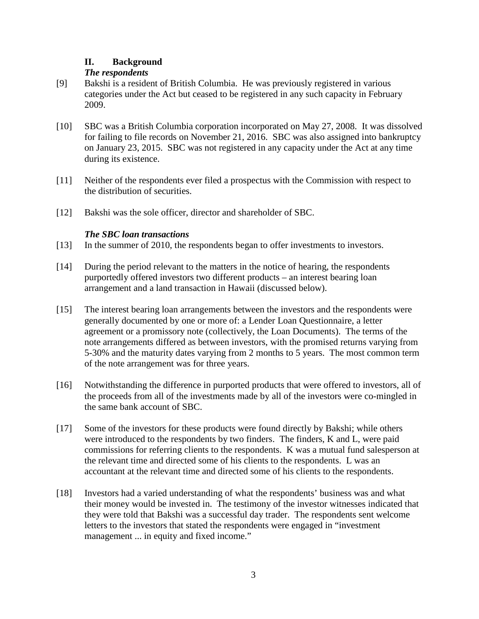# **II. Background**

# *The respondents*

- [9] Bakshi is a resident of British Columbia. He was previously registered in various categories under the Act but ceased to be registered in any such capacity in February 2009.
- [10] SBC was a British Columbia corporation incorporated on May 27, 2008. It was dissolved for failing to file records on November 21, 2016. SBC was also assigned into bankruptcy on January 23, 2015. SBC was not registered in any capacity under the Act at any time during its existence.
- [11] Neither of the respondents ever filed a prospectus with the Commission with respect to the distribution of securities.
- [12] Bakshi was the sole officer, director and shareholder of SBC.

# *The SBC loan transactions*

- [13] In the summer of 2010, the respondents began to offer investments to investors.
- [14] During the period relevant to the matters in the notice of hearing, the respondents purportedly offered investors two different products – an interest bearing loan arrangement and a land transaction in Hawaii (discussed below).
- [15] The interest bearing loan arrangements between the investors and the respondents were generally documented by one or more of: a Lender Loan Questionnaire, a letter agreement or a promissory note (collectively, the Loan Documents). The terms of the note arrangements differed as between investors, with the promised returns varying from 5-30% and the maturity dates varying from 2 months to 5 years. The most common term of the note arrangement was for three years.
- [16] Notwithstanding the difference in purported products that were offered to investors, all of the proceeds from all of the investments made by all of the investors were co-mingled in the same bank account of SBC.
- [17] Some of the investors for these products were found directly by Bakshi; while others were introduced to the respondents by two finders. The finders, K and L, were paid commissions for referring clients to the respondents. K was a mutual fund salesperson at the relevant time and directed some of his clients to the respondents. L was an accountant at the relevant time and directed some of his clients to the respondents.
- [18] Investors had a varied understanding of what the respondents' business was and what their money would be invested in. The testimony of the investor witnesses indicated that they were told that Bakshi was a successful day trader. The respondents sent welcome letters to the investors that stated the respondents were engaged in "investment management ... in equity and fixed income."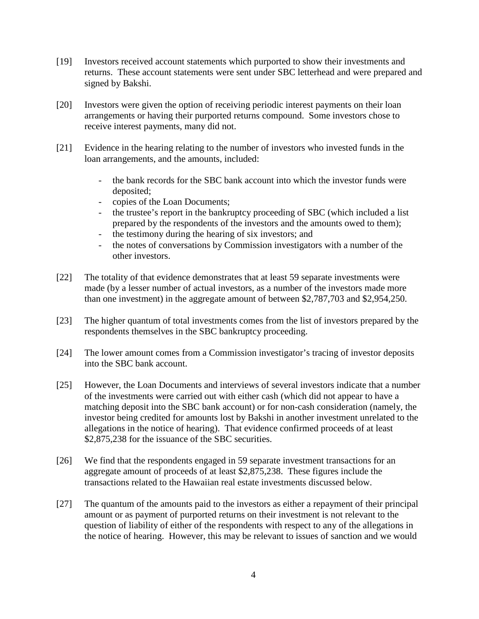- [19] Investors received account statements which purported to show their investments and returns. These account statements were sent under SBC letterhead and were prepared and signed by Bakshi.
- [20] Investors were given the option of receiving periodic interest payments on their loan arrangements or having their purported returns compound. Some investors chose to receive interest payments, many did not.
- [21] Evidence in the hearing relating to the number of investors who invested funds in the loan arrangements, and the amounts, included:
	- the bank records for the SBC bank account into which the investor funds were deposited;
	- copies of the Loan Documents;
	- the trustee's report in the bankruptcy proceeding of SBC (which included a list prepared by the respondents of the investors and the amounts owed to them);
	- the testimony during the hearing of six investors; and
	- the notes of conversations by Commission investigators with a number of the other investors.
- [22] The totality of that evidence demonstrates that at least 59 separate investments were made (by a lesser number of actual investors, as a number of the investors made more than one investment) in the aggregate amount of between \$2,787,703 and \$2,954,250.
- [23] The higher quantum of total investments comes from the list of investors prepared by the respondents themselves in the SBC bankruptcy proceeding.
- [24] The lower amount comes from a Commission investigator's tracing of investor deposits into the SBC bank account.
- [25] However, the Loan Documents and interviews of several investors indicate that a number of the investments were carried out with either cash (which did not appear to have a matching deposit into the SBC bank account) or for non-cash consideration (namely, the investor being credited for amounts lost by Bakshi in another investment unrelated to the allegations in the notice of hearing). That evidence confirmed proceeds of at least \$2,875,238 for the issuance of the SBC securities.
- [26] We find that the respondents engaged in 59 separate investment transactions for an aggregate amount of proceeds of at least \$2,875,238. These figures include the transactions related to the Hawaiian real estate investments discussed below.
- [27] The quantum of the amounts paid to the investors as either a repayment of their principal amount or as payment of purported returns on their investment is not relevant to the question of liability of either of the respondents with respect to any of the allegations in the notice of hearing. However, this may be relevant to issues of sanction and we would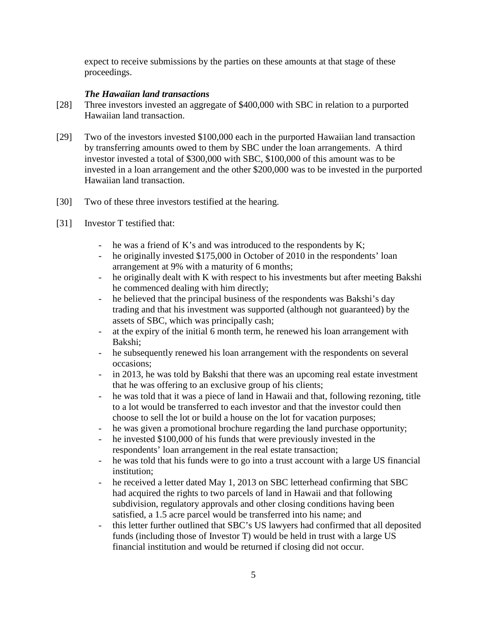expect to receive submissions by the parties on these amounts at that stage of these proceedings.

### *The Hawaiian land transactions*

- [28] Three investors invested an aggregate of \$400,000 with SBC in relation to a purported Hawaiian land transaction.
- [29] Two of the investors invested \$100,000 each in the purported Hawaiian land transaction by transferring amounts owed to them by SBC under the loan arrangements. A third investor invested a total of \$300,000 with SBC, \$100,000 of this amount was to be invested in a loan arrangement and the other \$200,000 was to be invested in the purported Hawaiian land transaction.
- [30] Two of these three investors testified at the hearing.
- [31] Investor T testified that:
	- he was a friend of K's and was introduced to the respondents by K;
	- he originally invested \$175,000 in October of 2010 in the respondents' loan arrangement at 9% with a maturity of 6 months;
	- he originally dealt with K with respect to his investments but after meeting Bakshi he commenced dealing with him directly;
	- he believed that the principal business of the respondents was Bakshi's day trading and that his investment was supported (although not guaranteed) by the assets of SBC, which was principally cash;
	- at the expiry of the initial 6 month term, he renewed his loan arrangement with Bakshi;
	- he subsequently renewed his loan arrangement with the respondents on several occasions;
	- in 2013, he was told by Bakshi that there was an upcoming real estate investment that he was offering to an exclusive group of his clients;
	- he was told that it was a piece of land in Hawaii and that, following rezoning, title to a lot would be transferred to each investor and that the investor could then choose to sell the lot or build a house on the lot for vacation purposes;
	- he was given a promotional brochure regarding the land purchase opportunity;
	- he invested \$100,000 of his funds that were previously invested in the respondents' loan arrangement in the real estate transaction;
	- he was told that his funds were to go into a trust account with a large US financial institution;
	- he received a letter dated May 1, 2013 on SBC letterhead confirming that SBC had acquired the rights to two parcels of land in Hawaii and that following subdivision, regulatory approvals and other closing conditions having been satisfied, a 1.5 acre parcel would be transferred into his name; and
	- this letter further outlined that SBC's US lawyers had confirmed that all deposited funds (including those of Investor T) would be held in trust with a large US financial institution and would be returned if closing did not occur.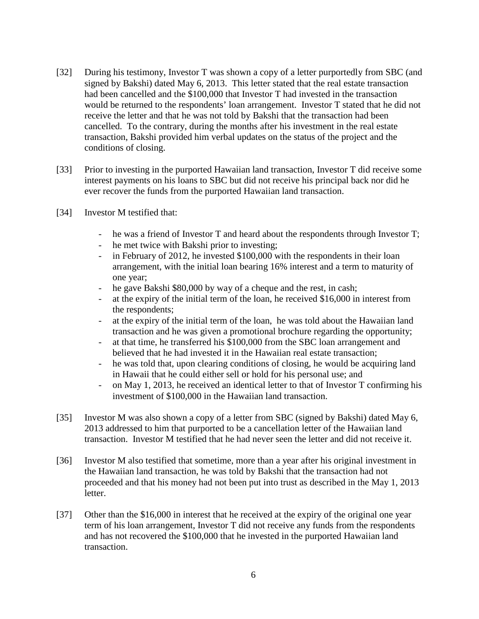- [32] During his testimony, Investor T was shown a copy of a letter purportedly from SBC (and signed by Bakshi) dated May 6, 2013. This letter stated that the real estate transaction had been cancelled and the \$100,000 that Investor T had invested in the transaction would be returned to the respondents' loan arrangement. Investor T stated that he did not receive the letter and that he was not told by Bakshi that the transaction had been cancelled. To the contrary, during the months after his investment in the real estate transaction, Bakshi provided him verbal updates on the status of the project and the conditions of closing.
- [33] Prior to investing in the purported Hawaiian land transaction, Investor T did receive some interest payments on his loans to SBC but did not receive his principal back nor did he ever recover the funds from the purported Hawaiian land transaction.
- [34] Investor M testified that:
	- he was a friend of Investor T and heard about the respondents through Investor T;
	- he met twice with Bakshi prior to investing;
	- in February of 2012, he invested \$100,000 with the respondents in their loan arrangement, with the initial loan bearing 16% interest and a term to maturity of one year;
	- he gave Bakshi \$80,000 by way of a cheque and the rest, in cash;
	- at the expiry of the initial term of the loan, he received \$16,000 in interest from the respondents;
	- at the expiry of the initial term of the loan, he was told about the Hawaiian land transaction and he was given a promotional brochure regarding the opportunity;
	- at that time, he transferred his \$100,000 from the SBC loan arrangement and believed that he had invested it in the Hawaiian real estate transaction;
	- he was told that, upon clearing conditions of closing, he would be acquiring land in Hawaii that he could either sell or hold for his personal use; and
	- on May 1, 2013, he received an identical letter to that of Investor T confirming his investment of \$100,000 in the Hawaiian land transaction.
- [35] Investor M was also shown a copy of a letter from SBC (signed by Bakshi) dated May 6, 2013 addressed to him that purported to be a cancellation letter of the Hawaiian land transaction. Investor M testified that he had never seen the letter and did not receive it.
- [36] Investor M also testified that sometime, more than a year after his original investment in the Hawaiian land transaction, he was told by Bakshi that the transaction had not proceeded and that his money had not been put into trust as described in the May 1, 2013 letter.
- [37] Other than the \$16,000 in interest that he received at the expiry of the original one year term of his loan arrangement, Investor T did not receive any funds from the respondents and has not recovered the \$100,000 that he invested in the purported Hawaiian land transaction.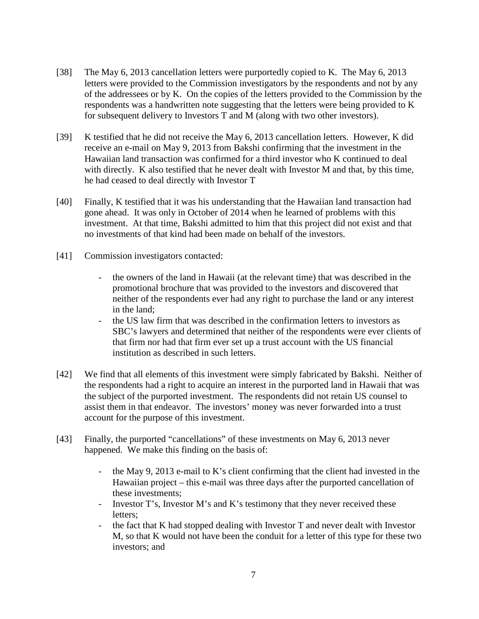- [38] The May 6, 2013 cancellation letters were purportedly copied to K. The May 6, 2013 letters were provided to the Commission investigators by the respondents and not by any of the addressees or by K. On the copies of the letters provided to the Commission by the respondents was a handwritten note suggesting that the letters were being provided to K for subsequent delivery to Investors T and M (along with two other investors).
- [39] K testified that he did not receive the May 6, 2013 cancellation letters. However, K did receive an e-mail on May 9, 2013 from Bakshi confirming that the investment in the Hawaiian land transaction was confirmed for a third investor who K continued to deal with directly. K also testified that he never dealt with Investor M and that, by this time, he had ceased to deal directly with Investor T
- [40] Finally, K testified that it was his understanding that the Hawaiian land transaction had gone ahead. It was only in October of 2014 when he learned of problems with this investment. At that time, Bakshi admitted to him that this project did not exist and that no investments of that kind had been made on behalf of the investors.
- [41] Commission investigators contacted:
	- the owners of the land in Hawaii (at the relevant time) that was described in the promotional brochure that was provided to the investors and discovered that neither of the respondents ever had any right to purchase the land or any interest in the land;
	- the US law firm that was described in the confirmation letters to investors as SBC's lawyers and determined that neither of the respondents were ever clients of that firm nor had that firm ever set up a trust account with the US financial institution as described in such letters.
- [42] We find that all elements of this investment were simply fabricated by Bakshi. Neither of the respondents had a right to acquire an interest in the purported land in Hawaii that was the subject of the purported investment. The respondents did not retain US counsel to assist them in that endeavor. The investors' money was never forwarded into a trust account for the purpose of this investment.
- [43] Finally, the purported "cancellations" of these investments on May 6, 2013 never happened. We make this finding on the basis of:
	- the May 9, 2013 e-mail to K's client confirming that the client had invested in the Hawaiian project – this e-mail was three days after the purported cancellation of these investments;
	- Investor T's, Investor M's and K's testimony that they never received these letters;
	- the fact that K had stopped dealing with Investor T and never dealt with Investor M, so that K would not have been the conduit for a letter of this type for these two investors; and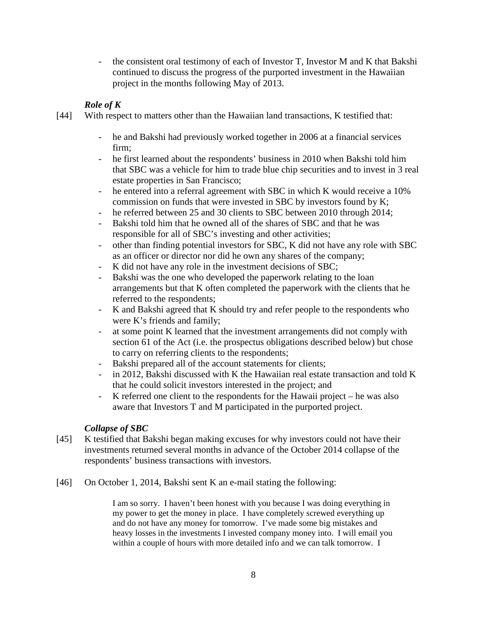- the consistent oral testimony of each of Investor T, Investor M and K that Bakshi continued to discuss the progress of the purported investment in the Hawaiian project in the months following May of 2013.

### *Role of K*

- [44] With respect to matters other than the Hawaiian land transactions, K testified that:
	- he and Bakshi had previously worked together in 2006 at a financial services firm;
	- he first learned about the respondents' business in 2010 when Bakshi told him that SBC was a vehicle for him to trade blue chip securities and to invest in 3 real estate properties in San Francisco;
	- he entered into a referral agreement with SBC in which K would receive a 10% commission on funds that were invested in SBC by investors found by K;
	- he referred between 25 and 30 clients to SBC between 2010 through 2014;
	- Bakshi told him that he owned all of the shares of SBC and that he was responsible for all of SBC's investing and other activities;
	- other than finding potential investors for SBC, K did not have any role with SBC as an officer or director nor did he own any shares of the company;
	- K did not have any role in the investment decisions of SBC;
	- Bakshi was the one who developed the paperwork relating to the loan arrangements but that K often completed the paperwork with the clients that he referred to the respondents;
	- K and Bakshi agreed that K should try and refer people to the respondents who were K's friends and family;
	- at some point K learned that the investment arrangements did not comply with section 61 of the Act (i.e. the prospectus obligations described below) but chose to carry on referring clients to the respondents;
	- Bakshi prepared all of the account statements for clients;
	- in 2012, Bakshi discussed with K the Hawaiian real estate transaction and told K that he could solicit investors interested in the project; and
	- K referred one client to the respondents for the Hawaii project he was also aware that Investors T and M participated in the purported project.

# *Collapse of SBC*

- [45] K testified that Bakshi began making excuses for why investors could not have their investments returned several months in advance of the October 2014 collapse of the respondents' business transactions with investors.
- [46] On October 1, 2014, Bakshi sent K an e-mail stating the following:

I am so sorry. I haven't been honest with you because I was doing everything in my power to get the money in place. I have completely screwed everything up and do not have any money for tomorrow. I've made some big mistakes and heavy losses in the investments I invested company money into. I will email you within a couple of hours with more detailed info and we can talk tomorrow. I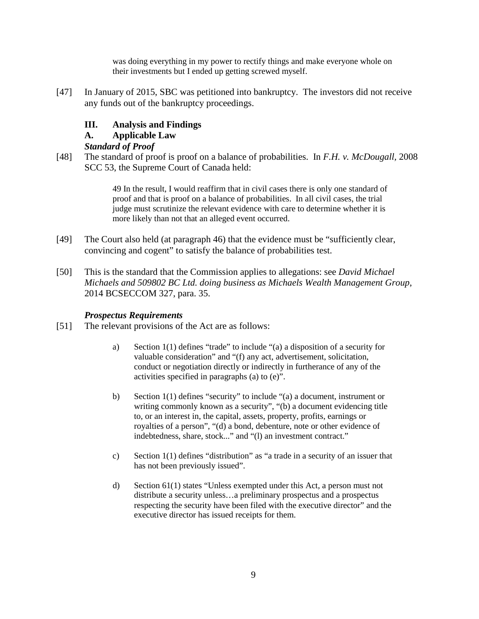was doing everything in my power to rectify things and make everyone whole on their investments but I ended up getting screwed myself.

[47] In January of 2015, SBC was petitioned into bankruptcy. The investors did not receive any funds out of the bankruptcy proceedings.

# **III. Analysis and Findings**

## **A. Applicable Law**

## *Standard of Proof*

[48] The standard of proof is proof on a balance of probabilities. In *F.H. v. McDougall,* 2008 SCC 53, the Supreme Court of Canada held:

> 49 In the result, I would reaffirm that in civil cases there is only one standard of proof and that is proof on a balance of probabilities. In all civil cases, the trial judge must scrutinize the relevant evidence with care to determine whether it is more likely than not that an alleged event occurred.

- [49] The Court also held (at paragraph 46) that the evidence must be "sufficiently clear, convincing and cogent" to satisfy the balance of probabilities test.
- [50] This is the standard that the Commission applies to allegations: see *David Michael Michaels and 509802 BC Ltd. doing business as Michaels Wealth Management Group*, 2014 BCSECCOM 327, para. 35.

# *Prospectus Requirements*

- [51] The relevant provisions of the Act are as follows:
	- a) Section 1(1) defines "trade" to include "(a) a disposition of a security for valuable consideration" and "(f) any act, advertisement, solicitation, conduct or negotiation directly or indirectly in furtherance of any of the activities specified in paragraphs (a) to (e)".
	- b) Section 1(1) defines "security" to include "(a) a document, instrument or writing commonly known as a security", "(b) a document evidencing title to, or an interest in, the capital, assets, property, profits, earnings or royalties of a person", "(d) a bond, debenture, note or other evidence of indebtedness, share, stock..." and "(l) an investment contract."
	- c) Section 1(1) defines "distribution" as "a trade in a security of an issuer that has not been previously issued".
	- d) Section 61(1) states "Unless exempted under this Act, a person must not distribute a security unless…a preliminary prospectus and a prospectus respecting the security have been filed with the executive director" and the executive director has issued receipts for them.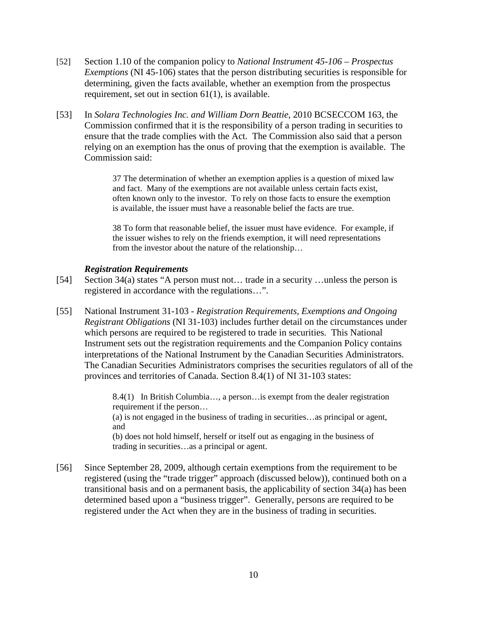- [52] Section 1.10 of the companion policy to *National Instrument 45-106 – Prospectus Exemptions* (NI 45-106) states that the person distributing securities is responsible for determining, given the facts available, whether an exemption from the prospectus requirement, set out in section  $61(1)$ , is available.
- [53] In *Solara Technologies Inc. and William Dorn Beattie*, 2010 BCSECCOM 163, the Commission confirmed that it is the responsibility of a person trading in securities to ensure that the trade complies with the Act. The Commission also said that a person relying on an exemption has the onus of proving that the exemption is available. The Commission said:

37 The determination of whether an exemption applies is a question of mixed law and fact. Many of the exemptions are not available unless certain facts exist, often known only to the investor. To rely on those facts to ensure the exemption is available, the issuer must have a reasonable belief the facts are true.

38 To form that reasonable belief, the issuer must have evidence. For example, if the issuer wishes to rely on the friends exemption, it will need representations from the investor about the nature of the relationship…

#### *Registration Requirements*

- [54] Section 34(a) states "A person must not… trade in a security …unless the person is registered in accordance with the regulations…".
- [55] National Instrument 31-103 *Registration Requirements, Exemptions and Ongoing Registrant Obligations* (NI 31-103) includes further detail on the circumstances under which persons are required to be registered to trade in securities. This National Instrument sets out the registration requirements and the Companion Policy contains interpretations of the National Instrument by the Canadian Securities Administrators. The Canadian Securities Administrators comprises the securities regulators of all of the provinces and territories of Canada. Section 8.4(1) of NI 31-103 states:

8.4(1) In British Columbia…, a person…is exempt from the dealer registration requirement if the person… (a) is not engaged in the business of trading in securities…as principal or agent, and (b) does not hold himself, herself or itself out as engaging in the business of trading in securities…as a principal or agent.

[56] Since September 28, 2009, although certain exemptions from the requirement to be registered (using the "trade trigger" approach (discussed below)), continued both on a transitional basis and on a permanent basis, the applicability of section 34(a) has been determined based upon a "business trigger". Generally, persons are required to be registered under the Act when they are in the business of trading in securities.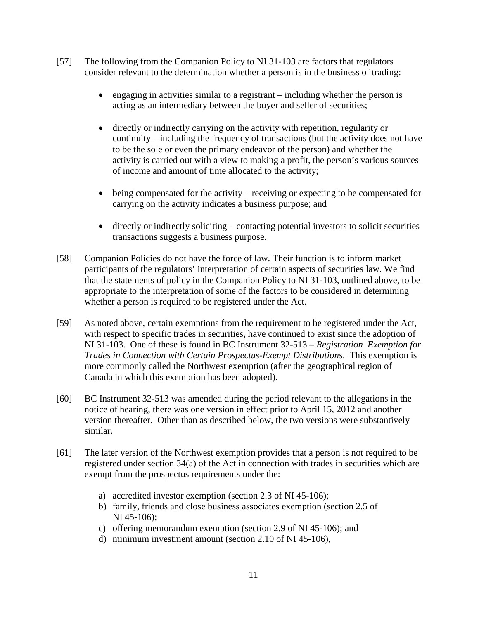- [57] The following from the Companion Policy to NI 31-103 are factors that regulators consider relevant to the determination whether a person is in the business of trading:
	- engaging in activities similar to a registrant including whether the person is acting as an intermediary between the buyer and seller of securities;
	- directly or indirectly carrying on the activity with repetition, regularity or continuity – including the frequency of transactions (but the activity does not have to be the sole or even the primary endeavor of the person) and whether the activity is carried out with a view to making a profit, the person's various sources of income and amount of time allocated to the activity;
	- being compensated for the activity receiving or expecting to be compensated for carrying on the activity indicates a business purpose; and
	- directly or indirectly soliciting contacting potential investors to solicit securities transactions suggests a business purpose.
- [58] Companion Policies do not have the force of law. Their function is to inform market participants of the regulators' interpretation of certain aspects of securities law. We find that the statements of policy in the Companion Policy to NI 31-103, outlined above, to be appropriate to the interpretation of some of the factors to be considered in determining whether a person is required to be registered under the Act.
- [59] As noted above, certain exemptions from the requirement to be registered under the Act, with respect to specific trades in securities, have continued to exist since the adoption of NI 31-103. One of these is found in BC Instrument 32-513 – *Registration Exemption for Trades in Connection with Certain Prospectus-Exempt Distributions*. This exemption is more commonly called the Northwest exemption (after the geographical region of Canada in which this exemption has been adopted).
- [60] BC Instrument 32-513 was amended during the period relevant to the allegations in the notice of hearing, there was one version in effect prior to April 15, 2012 and another version thereafter. Other than as described below, the two versions were substantively similar.
- [61] The later version of the Northwest exemption provides that a person is not required to be registered under section 34(a) of the Act in connection with trades in securities which are exempt from the prospectus requirements under the:
	- a) accredited investor exemption (section 2.3 of NI 45-106);
	- b) family, friends and close business associates exemption (section 2.5 of NI 45-106);
	- c) offering memorandum exemption (section 2.9 of NI 45-106); and
	- d) minimum investment amount (section 2.10 of NI 45-106),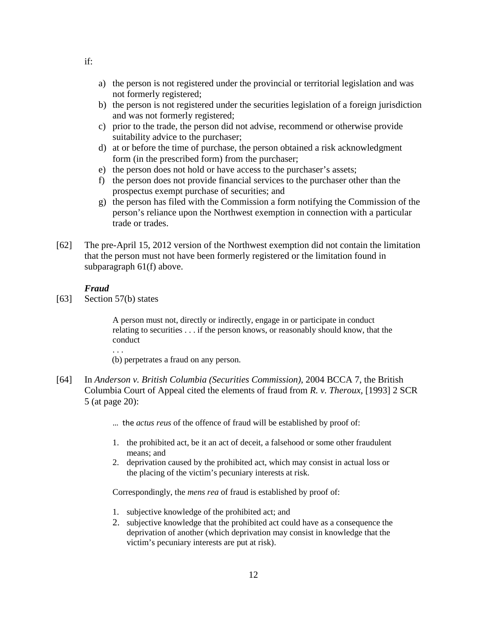- a) the person is not registered under the provincial or territorial legislation and was not formerly registered;
- b) the person is not registered under the securities legislation of a foreign jurisdiction and was not formerly registered;
- c) prior to the trade, the person did not advise, recommend or otherwise provide suitability advice to the purchaser;
- d) at or before the time of purchase, the person obtained a risk acknowledgment form (in the prescribed form) from the purchaser;
- e) the person does not hold or have access to the purchaser's assets;
- f) the person does not provide financial services to the purchaser other than the prospectus exempt purchase of securities; and
- g) the person has filed with the Commission a form notifying the Commission of the person's reliance upon the Northwest exemption in connection with a particular trade or trades.
- [62] The pre-April 15, 2012 version of the Northwest exemption did not contain the limitation that the person must not have been formerly registered or the limitation found in subparagraph 61(f) above.

#### *Fraud*

[63] Section 57(b) states

A person must not, directly or indirectly, engage in or participate in conduct relating to securities . . . if the person knows, or reasonably should know, that the conduct

. . .

(b) perpetrates a fraud on any person.

- [64] In *Anderson v. British Columbia (Securities Commission)*, 2004 BCCA 7, the British Columbia Court of Appeal cited the elements of fraud from *R. v. Theroux,* [1993] 2 SCR 5 (at page 20):
	- … the *actus reus* of the offence of fraud will be established by proof of:
	- 1. the prohibited act, be it an act of deceit, a falsehood or some other fraudulent means; and
	- 2. deprivation caused by the prohibited act, which may consist in actual loss or the placing of the victim's pecuniary interests at risk.

Correspondingly, the *mens rea* of fraud is established by proof of:

- 1. subjective knowledge of the prohibited act; and
- 2. subjective knowledge that the prohibited act could have as a consequence the deprivation of another (which deprivation may consist in knowledge that the victim's pecuniary interests are put at risk).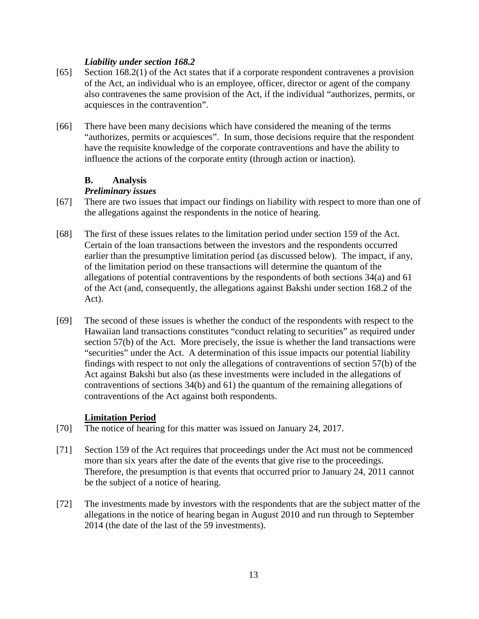### *Liability under section 168.2*

- [65] Section 168.2(1) of the Act states that if a corporate respondent contravenes a provision of the Act, an individual who is an employee, officer, director or agent of the company also contravenes the same provision of the Act, if the individual "authorizes, permits, or acquiesces in the contravention".
- [66] There have been many decisions which have considered the meaning of the terms "authorizes, permits or acquiesces". In sum, those decisions require that the respondent have the requisite knowledge of the corporate contraventions and have the ability to influence the actions of the corporate entity (through action or inaction).

# **B. Analysis**

# *Preliminary issues*

- [67] There are two issues that impact our findings on liability with respect to more than one of the allegations against the respondents in the notice of hearing.
- [68] The first of these issues relates to the limitation period under section 159 of the Act. Certain of the loan transactions between the investors and the respondents occurred earlier than the presumptive limitation period (as discussed below). The impact, if any, of the limitation period on these transactions will determine the quantum of the allegations of potential contraventions by the respondents of both sections 34(a) and 61 of the Act (and, consequently, the allegations against Bakshi under section 168.2 of the Act).
- [69] The second of these issues is whether the conduct of the respondents with respect to the Hawaiian land transactions constitutes "conduct relating to securities" as required under section 57(b) of the Act. More precisely, the issue is whether the land transactions were "securities" under the Act. A determination of this issue impacts our potential liability findings with respect to not only the allegations of contraventions of section 57(b) of the Act against Bakshi but also (as these investments were included in the allegations of contraventions of sections 34(b) and 61) the quantum of the remaining allegations of contraventions of the Act against both respondents.

# **Limitation Period**

- [70] The notice of hearing for this matter was issued on January 24, 2017.
- [71] Section 159 of the Act requires that proceedings under the Act must not be commenced more than six years after the date of the events that give rise to the proceedings. Therefore, the presumption is that events that occurred prior to January 24, 2011 cannot be the subject of a notice of hearing.
- [72] The investments made by investors with the respondents that are the subject matter of the allegations in the notice of hearing began in August 2010 and run through to September 2014 (the date of the last of the 59 investments).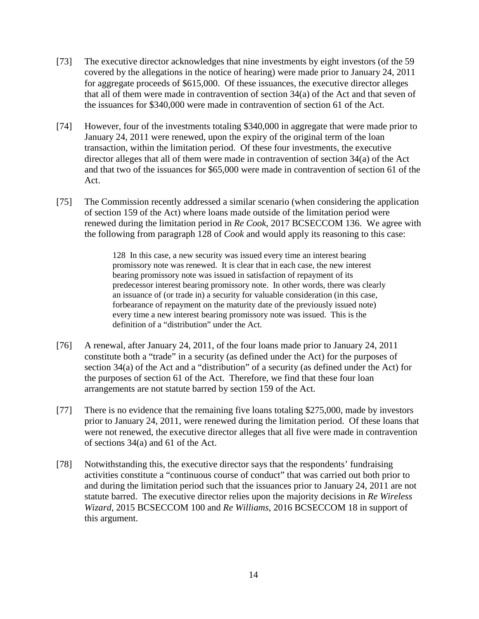- [73] The executive director acknowledges that nine investments by eight investors (of the 59 covered by the allegations in the notice of hearing) were made prior to January 24, 2011 for aggregate proceeds of \$615,000. Of these issuances, the executive director alleges that all of them were made in contravention of section 34(a) of the Act and that seven of the issuances for \$340,000 were made in contravention of section 61 of the Act.
- [74] However, four of the investments totaling \$340,000 in aggregate that were made prior to January 24, 2011 were renewed, upon the expiry of the original term of the loan transaction, within the limitation period. Of these four investments, the executive director alleges that all of them were made in contravention of section 34(a) of the Act and that two of the issuances for \$65,000 were made in contravention of section 61 of the Act.
- [75] The Commission recently addressed a similar scenario (when considering the application of section 159 of the Act) where loans made outside of the limitation period were renewed during the limitation period in *Re Cook*, 2017 BCSECCOM 136. We agree with the following from paragraph 128 of *Cook* and would apply its reasoning to this case:

128 In this case, a new security was issued every time an interest bearing promissory note was renewed. It is clear that in each case, the new interest bearing promissory note was issued in satisfaction of repayment of its predecessor interest bearing promissory note. In other words, there was clearly an issuance of (or trade in) a security for valuable consideration (in this case, forbearance of repayment on the maturity date of the previously issued note) every time a new interest bearing promissory note was issued. This is the definition of a "distribution" under the Act.

- [76] A renewal, after January 24, 2011, of the four loans made prior to January 24, 2011 constitute both a "trade" in a security (as defined under the Act) for the purposes of section 34(a) of the Act and a "distribution" of a security (as defined under the Act) for the purposes of section 61 of the Act. Therefore, we find that these four loan arrangements are not statute barred by section 159 of the Act.
- [77] There is no evidence that the remaining five loans totaling \$275,000, made by investors prior to January 24, 2011, were renewed during the limitation period. Of these loans that were not renewed, the executive director alleges that all five were made in contravention of sections 34(a) and 61 of the Act.
- [78] Notwithstanding this, the executive director says that the respondents' fundraising activities constitute a "continuous course of conduct" that was carried out both prior to and during the limitation period such that the issuances prior to January 24, 2011 are not statute barred. The executive director relies upon the majority decisions in *Re Wireless Wizard*, 2015 BCSECCOM 100 and *Re Williams*, 2016 BCSECCOM 18 in support of this argument.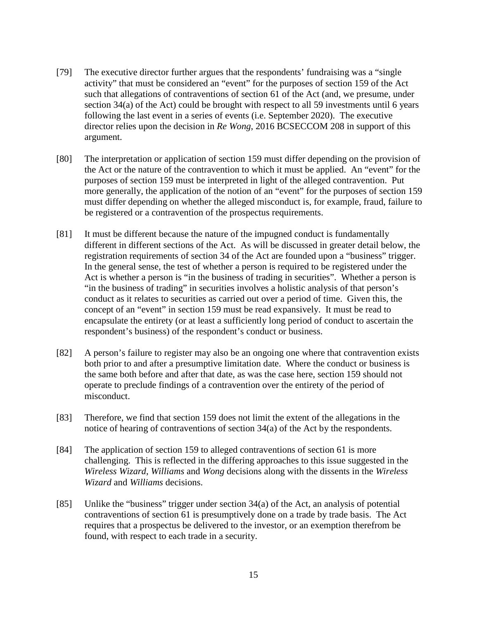- [79] The executive director further argues that the respondents' fundraising was a "single activity" that must be considered an "event" for the purposes of section 159 of the Act such that allegations of contraventions of section 61 of the Act (and, we presume, under section 34(a) of the Act) could be brought with respect to all 59 investments until 6 years following the last event in a series of events (i.e. September 2020). The executive director relies upon the decision in *Re Wong*, 2016 BCSECCOM 208 in support of this argument.
- [80] The interpretation or application of section 159 must differ depending on the provision of the Act or the nature of the contravention to which it must be applied. An "event" for the purposes of section 159 must be interpreted in light of the alleged contravention. Put more generally, the application of the notion of an "event" for the purposes of section 159 must differ depending on whether the alleged misconduct is, for example, fraud, failure to be registered or a contravention of the prospectus requirements.
- [81] It must be different because the nature of the impugned conduct is fundamentally different in different sections of the Act. As will be discussed in greater detail below, the registration requirements of section 34 of the Act are founded upon a "business" trigger. In the general sense, the test of whether a person is required to be registered under the Act is whether a person is "in the business of trading in securities". Whether a person is "in the business of trading" in securities involves a holistic analysis of that person's conduct as it relates to securities as carried out over a period of time. Given this, the concept of an "event" in section 159 must be read expansively. It must be read to encapsulate the entirety (or at least a sufficiently long period of conduct to ascertain the respondent's business) of the respondent's conduct or business.
- [82] A person's failure to register may also be an ongoing one where that contravention exists both prior to and after a presumptive limitation date. Where the conduct or business is the same both before and after that date, as was the case here, section 159 should not operate to preclude findings of a contravention over the entirety of the period of misconduct.
- [83] Therefore, we find that section 159 does not limit the extent of the allegations in the notice of hearing of contraventions of section 34(a) of the Act by the respondents.
- [84] The application of section 159 to alleged contraventions of section 61 is more challenging. This is reflected in the differing approaches to this issue suggested in the *Wireless Wizard*, *Williams* and *Wong* decisions along with the dissents in the *Wireless Wizard* and *Williams* decisions.
- [85] Unlike the "business" trigger under section 34(a) of the Act, an analysis of potential contraventions of section 61 is presumptively done on a trade by trade basis. The Act requires that a prospectus be delivered to the investor, or an exemption therefrom be found, with respect to each trade in a security.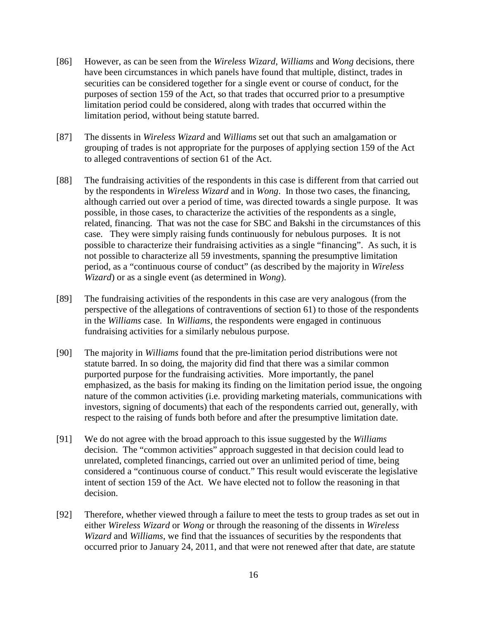- [86] However, as can be seen from the *Wireless Wizard*, *Williams* and *Wong* decisions, there have been circumstances in which panels have found that multiple, distinct, trades in securities can be considered together for a single event or course of conduct, for the purposes of section 159 of the Act, so that trades that occurred prior to a presumptive limitation period could be considered, along with trades that occurred within the limitation period, without being statute barred.
- [87] The dissents in *Wireless Wizard* and *Williams* set out that such an amalgamation or grouping of trades is not appropriate for the purposes of applying section 159 of the Act to alleged contraventions of section 61 of the Act.
- [88] The fundraising activities of the respondents in this case is different from that carried out by the respondents in *Wireless Wizard* and in *Wong*. In those two cases, the financing, although carried out over a period of time, was directed towards a single purpose. It was possible, in those cases, to characterize the activities of the respondents as a single, related, financing. That was not the case for SBC and Bakshi in the circumstances of this case. They were simply raising funds continuously for nebulous purposes. It is not possible to characterize their fundraising activities as a single "financing". As such, it is not possible to characterize all 59 investments, spanning the presumptive limitation period, as a "continuous course of conduct" (as described by the majority in *Wireless Wizard*) or as a single event (as determined in *Wong*).
- [89] The fundraising activities of the respondents in this case are very analogous (from the perspective of the allegations of contraventions of section 61) to those of the respondents in the *Williams* case. In *Williams*, the respondents were engaged in continuous fundraising activities for a similarly nebulous purpose.
- [90] The majority in *Williams* found that the pre-limitation period distributions were not statute barred. In so doing, the majority did find that there was a similar common purported purpose for the fundraising activities. More importantly, the panel emphasized, as the basis for making its finding on the limitation period issue, the ongoing nature of the common activities (i.e. providing marketing materials, communications with investors, signing of documents) that each of the respondents carried out, generally, with respect to the raising of funds both before and after the presumptive limitation date.
- [91] We do not agree with the broad approach to this issue suggested by the *Williams* decision. The "common activities" approach suggested in that decision could lead to unrelated, completed financings, carried out over an unlimited period of time, being considered a "continuous course of conduct." This result would eviscerate the legislative intent of section 159 of the Act. We have elected not to follow the reasoning in that decision.
- [92] Therefore, whether viewed through a failure to meet the tests to group trades as set out in either *Wireless Wizard* or *Wong* or through the reasoning of the dissents in *Wireless Wizard* and *Williams*, we find that the issuances of securities by the respondents that occurred prior to January 24, 2011, and that were not renewed after that date, are statute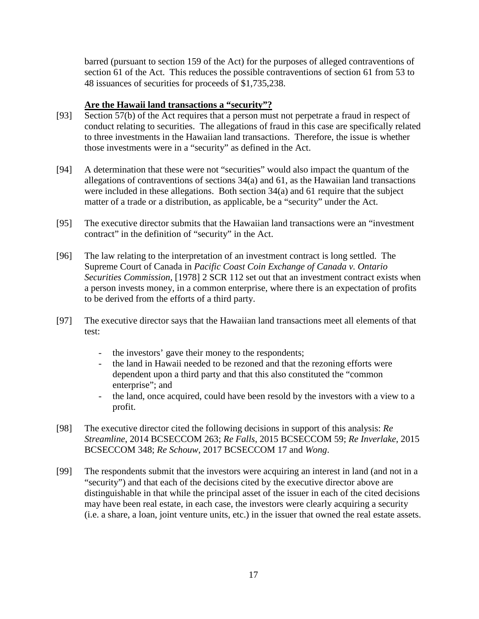barred (pursuant to section 159 of the Act) for the purposes of alleged contraventions of section 61 of the Act. This reduces the possible contraventions of section 61 from 53 to 48 issuances of securities for proceeds of \$1,735,238.

### **Are the Hawaii land transactions a "security"?**

- [93] Section 57(b) of the Act requires that a person must not perpetrate a fraud in respect of conduct relating to securities. The allegations of fraud in this case are specifically related to three investments in the Hawaiian land transactions. Therefore, the issue is whether those investments were in a "security" as defined in the Act.
- [94] A determination that these were not "securities" would also impact the quantum of the allegations of contraventions of sections 34(a) and 61, as the Hawaiian land transactions were included in these allegations. Both section 34(a) and 61 require that the subject matter of a trade or a distribution, as applicable, be a "security" under the Act.
- [95] The executive director submits that the Hawaiian land transactions were an "investment contract" in the definition of "security" in the Act.
- [96] The law relating to the interpretation of an investment contract is long settled. The Supreme Court of Canada in *Pacific Coast Coin Exchange of Canada v. Ontario Securities Commission*, [1978] 2 SCR 112 set out that an investment contract exists when a person invests money, in a common enterprise, where there is an expectation of profits to be derived from the efforts of a third party.
- [97] The executive director says that the Hawaiian land transactions meet all elements of that test:
	- the investors' gave their money to the respondents;
	- the land in Hawaii needed to be rezoned and that the rezoning efforts were dependent upon a third party and that this also constituted the "common enterprise"; and
	- the land, once acquired, could have been resold by the investors with a view to a profit.
- [98] The executive director cited the following decisions in support of this analysis: *Re Streamline*, 2014 BCSECCOM 263; *Re Falls*, 2015 BCSECCOM 59; *Re Inverlake*, 2015 BCSECCOM 348; *Re Schouw*, 2017 BCSECCOM 17 and *Wong*.
- [99] The respondents submit that the investors were acquiring an interest in land (and not in a "security") and that each of the decisions cited by the executive director above are distinguishable in that while the principal asset of the issuer in each of the cited decisions may have been real estate, in each case, the investors were clearly acquiring a security (i.e. a share, a loan, joint venture units, etc.) in the issuer that owned the real estate assets.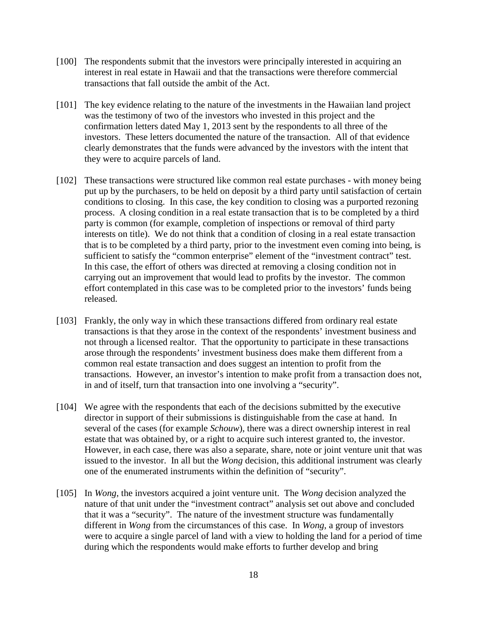- [100] The respondents submit that the investors were principally interested in acquiring an interest in real estate in Hawaii and that the transactions were therefore commercial transactions that fall outside the ambit of the Act.
- [101] The key evidence relating to the nature of the investments in the Hawaiian land project was the testimony of two of the investors who invested in this project and the confirmation letters dated May 1, 2013 sent by the respondents to all three of the investors. These letters documented the nature of the transaction. All of that evidence clearly demonstrates that the funds were advanced by the investors with the intent that they were to acquire parcels of land.
- [102] These transactions were structured like common real estate purchases with money being put up by the purchasers, to be held on deposit by a third party until satisfaction of certain conditions to closing. In this case, the key condition to closing was a purported rezoning process. A closing condition in a real estate transaction that is to be completed by a third party is common (for example, completion of inspections or removal of third party interests on title). We do not think that a condition of closing in a real estate transaction that is to be completed by a third party, prior to the investment even coming into being, is sufficient to satisfy the "common enterprise" element of the "investment contract" test. In this case, the effort of others was directed at removing a closing condition not in carrying out an improvement that would lead to profits by the investor. The common effort contemplated in this case was to be completed prior to the investors' funds being released.
- [103] Frankly, the only way in which these transactions differed from ordinary real estate transactions is that they arose in the context of the respondents' investment business and not through a licensed realtor. That the opportunity to participate in these transactions arose through the respondents' investment business does make them different from a common real estate transaction and does suggest an intention to profit from the transactions. However, an investor's intention to make profit from a transaction does not, in and of itself, turn that transaction into one involving a "security".
- [104] We agree with the respondents that each of the decisions submitted by the executive director in support of their submissions is distinguishable from the case at hand. In several of the cases (for example *Schouw*), there was a direct ownership interest in real estate that was obtained by, or a right to acquire such interest granted to, the investor. However, in each case, there was also a separate, share, note or joint venture unit that was issued to the investor. In all but the *Wong* decision, this additional instrument was clearly one of the enumerated instruments within the definition of "security".
- [105] In *Wong*, the investors acquired a joint venture unit. The *Wong* decision analyzed the nature of that unit under the "investment contract" analysis set out above and concluded that it was a "security". The nature of the investment structure was fundamentally different in *Wong* from the circumstances of this case. In *Wong*, a group of investors were to acquire a single parcel of land with a view to holding the land for a period of time during which the respondents would make efforts to further develop and bring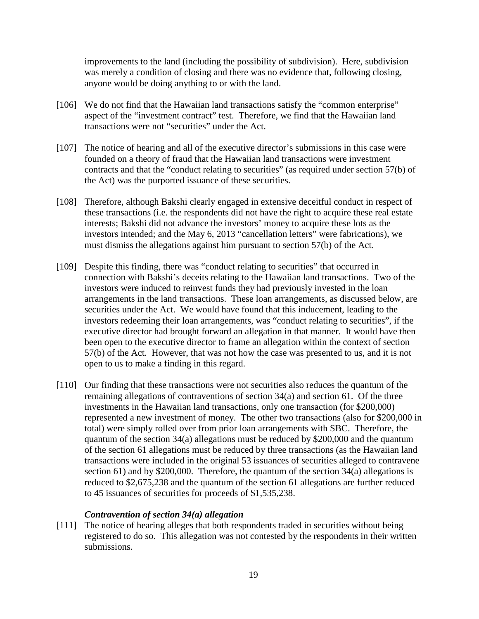improvements to the land (including the possibility of subdivision). Here, subdivision was merely a condition of closing and there was no evidence that, following closing, anyone would be doing anything to or with the land.

- [106] We do not find that the Hawaiian land transactions satisfy the "common enterprise" aspect of the "investment contract" test. Therefore, we find that the Hawaiian land transactions were not "securities" under the Act.
- [107] The notice of hearing and all of the executive director's submissions in this case were founded on a theory of fraud that the Hawaiian land transactions were investment contracts and that the "conduct relating to securities" (as required under section 57(b) of the Act) was the purported issuance of these securities.
- [108] Therefore, although Bakshi clearly engaged in extensive deceitful conduct in respect of these transactions (i.e. the respondents did not have the right to acquire these real estate interests; Bakshi did not advance the investors' money to acquire these lots as the investors intended; and the May 6, 2013 "cancellation letters" were fabrications), we must dismiss the allegations against him pursuant to section 57(b) of the Act.
- [109] Despite this finding, there was "conduct relating to securities" that occurred in connection with Bakshi's deceits relating to the Hawaiian land transactions. Two of the investors were induced to reinvest funds they had previously invested in the loan arrangements in the land transactions. These loan arrangements, as discussed below, are securities under the Act. We would have found that this inducement, leading to the investors redeeming their loan arrangements, was "conduct relating to securities", if the executive director had brought forward an allegation in that manner. It would have then been open to the executive director to frame an allegation within the context of section 57(b) of the Act. However, that was not how the case was presented to us, and it is not open to us to make a finding in this regard.
- [110] Our finding that these transactions were not securities also reduces the quantum of the remaining allegations of contraventions of section 34(a) and section 61. Of the three investments in the Hawaiian land transactions, only one transaction (for \$200,000) represented a new investment of money. The other two transactions (also for \$200,000 in total) were simply rolled over from prior loan arrangements with SBC. Therefore, the quantum of the section 34(a) allegations must be reduced by \$200,000 and the quantum of the section 61 allegations must be reduced by three transactions (as the Hawaiian land transactions were included in the original 53 issuances of securities alleged to contravene section 61) and by \$200,000. Therefore, the quantum of the section 34(a) allegations is reduced to \$2,675,238 and the quantum of the section 61 allegations are further reduced to 45 issuances of securities for proceeds of \$1,535,238.

#### *Contravention of section 34(a) allegation*

[111] The notice of hearing alleges that both respondents traded in securities without being registered to do so. This allegation was not contested by the respondents in their written submissions.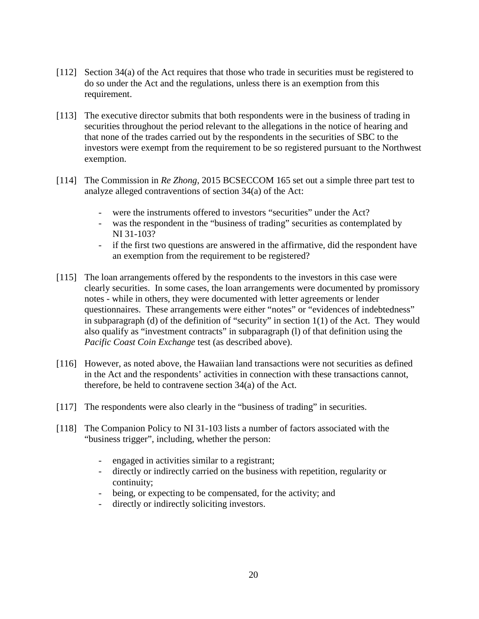- [112] Section 34(a) of the Act requires that those who trade in securities must be registered to do so under the Act and the regulations, unless there is an exemption from this requirement.
- [113] The executive director submits that both respondents were in the business of trading in securities throughout the period relevant to the allegations in the notice of hearing and that none of the trades carried out by the respondents in the securities of SBC to the investors were exempt from the requirement to be so registered pursuant to the Northwest exemption.
- [114] The Commission in *Re Zhong*, 2015 BCSECCOM 165 set out a simple three part test to analyze alleged contraventions of section 34(a) of the Act:
	- were the instruments offered to investors "securities" under the Act?
	- was the respondent in the "business of trading" securities as contemplated by NI 31-103?
	- if the first two questions are answered in the affirmative, did the respondent have an exemption from the requirement to be registered?
- [115] The loan arrangements offered by the respondents to the investors in this case were clearly securities. In some cases, the loan arrangements were documented by promissory notes - while in others, they were documented with letter agreements or lender questionnaires. These arrangements were either "notes" or "evidences of indebtedness" in subparagraph (d) of the definition of "security" in section 1(1) of the Act. They would also qualify as "investment contracts" in subparagraph (l) of that definition using the *Pacific Coast Coin Exchange* test (as described above).
- [116] However, as noted above, the Hawaiian land transactions were not securities as defined in the Act and the respondents' activities in connection with these transactions cannot, therefore, be held to contravene section 34(a) of the Act.
- [117] The respondents were also clearly in the "business of trading" in securities.
- [118] The Companion Policy to NI 31-103 lists a number of factors associated with the "business trigger", including, whether the person:
	- engaged in activities similar to a registrant;
	- directly or indirectly carried on the business with repetition, regularity or continuity;
	- being, or expecting to be compensated, for the activity; and
	- directly or indirectly soliciting investors.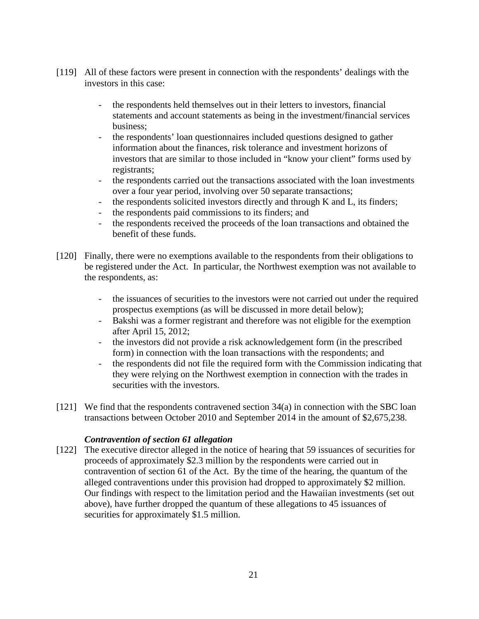- [119] All of these factors were present in connection with the respondents' dealings with the investors in this case:
	- the respondents held themselves out in their letters to investors, financial statements and account statements as being in the investment/financial services business;
	- the respondents' loan questionnaires included questions designed to gather information about the finances, risk tolerance and investment horizons of investors that are similar to those included in "know your client" forms used by registrants;
	- the respondents carried out the transactions associated with the loan investments over a four year period, involving over 50 separate transactions;
	- the respondents solicited investors directly and through K and L, its finders;
	- the respondents paid commissions to its finders; and
	- the respondents received the proceeds of the loan transactions and obtained the benefit of these funds.
- [120] Finally, there were no exemptions available to the respondents from their obligations to be registered under the Act. In particular, the Northwest exemption was not available to the respondents, as:
	- the issuances of securities to the investors were not carried out under the required prospectus exemptions (as will be discussed in more detail below);
	- Bakshi was a former registrant and therefore was not eligible for the exemption after April 15, 2012;
	- the investors did not provide a risk acknowledgement form (in the prescribed form) in connection with the loan transactions with the respondents; and
	- the respondents did not file the required form with the Commission indicating that they were relying on the Northwest exemption in connection with the trades in securities with the investors.
- [121] We find that the respondents contravened section 34(a) in connection with the SBC loan transactions between October 2010 and September 2014 in the amount of \$2,675,238.

#### *Contravention of section 61 allegation*

[122] The executive director alleged in the notice of hearing that 59 issuances of securities for proceeds of approximately \$2.3 million by the respondents were carried out in contravention of section 61 of the Act. By the time of the hearing, the quantum of the alleged contraventions under this provision had dropped to approximately \$2 million. Our findings with respect to the limitation period and the Hawaiian investments (set out above), have further dropped the quantum of these allegations to 45 issuances of securities for approximately \$1.5 million.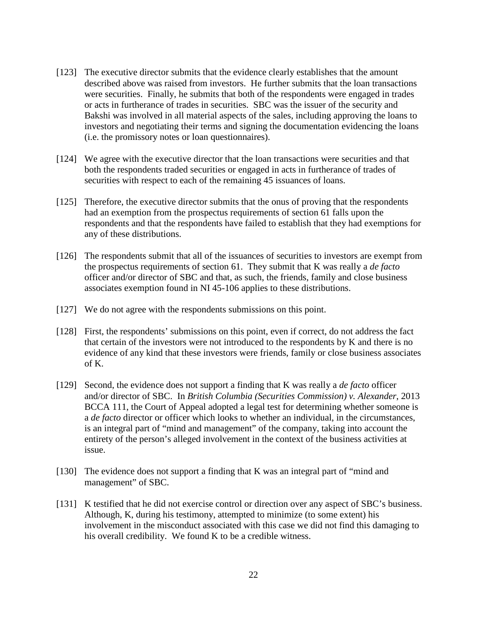- [123] The executive director submits that the evidence clearly establishes that the amount described above was raised from investors. He further submits that the loan transactions were securities. Finally, he submits that both of the respondents were engaged in trades or acts in furtherance of trades in securities. SBC was the issuer of the security and Bakshi was involved in all material aspects of the sales, including approving the loans to investors and negotiating their terms and signing the documentation evidencing the loans (i.e. the promissory notes or loan questionnaires).
- [124] We agree with the executive director that the loan transactions were securities and that both the respondents traded securities or engaged in acts in furtherance of trades of securities with respect to each of the remaining 45 issuances of loans.
- [125] Therefore, the executive director submits that the onus of proving that the respondents had an exemption from the prospectus requirements of section 61 falls upon the respondents and that the respondents have failed to establish that they had exemptions for any of these distributions.
- [126] The respondents submit that all of the issuances of securities to investors are exempt from the prospectus requirements of section 61. They submit that K was really a *de facto* officer and/or director of SBC and that, as such, the friends, family and close business associates exemption found in NI 45-106 applies to these distributions.
- [127] We do not agree with the respondents submissions on this point.
- [128] First, the respondents' submissions on this point, even if correct, do not address the fact that certain of the investors were not introduced to the respondents by K and there is no evidence of any kind that these investors were friends, family or close business associates of K.
- [129] Second, the evidence does not support a finding that K was really a *de facto* officer and/or director of SBC. In *British Columbia (Securities Commission) v. Alexander*, 2013 BCCA 111, the Court of Appeal adopted a legal test for determining whether someone is a *de facto* director or officer which looks to whether an individual, in the circumstances, is an integral part of "mind and management" of the company, taking into account the entirety of the person's alleged involvement in the context of the business activities at issue.
- [130] The evidence does not support a finding that K was an integral part of "mind and management" of SBC.
- [131] K testified that he did not exercise control or direction over any aspect of SBC's business. Although, K, during his testimony, attempted to minimize (to some extent) his involvement in the misconduct associated with this case we did not find this damaging to his overall credibility. We found K to be a credible witness.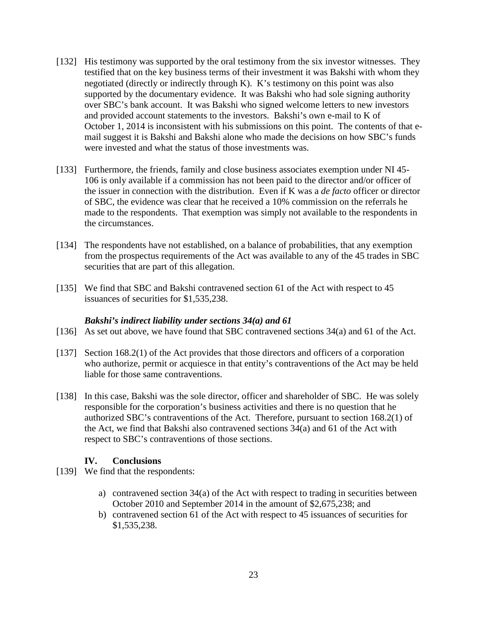- [132] His testimony was supported by the oral testimony from the six investor witnesses. They testified that on the key business terms of their investment it was Bakshi with whom they negotiated (directly or indirectly through K). K's testimony on this point was also supported by the documentary evidence. It was Bakshi who had sole signing authority over SBC's bank account. It was Bakshi who signed welcome letters to new investors and provided account statements to the investors. Bakshi's own e-mail to K of October 1, 2014 is inconsistent with his submissions on this point. The contents of that email suggest it is Bakshi and Bakshi alone who made the decisions on how SBC's funds were invested and what the status of those investments was.
- [133] Furthermore, the friends, family and close business associates exemption under NI45-106 is only available if a commission has not been paid to the director and/or officer of the issuer in connection with the distribution. Even if K was a *de facto* officer or director of SBC, the evidence was clear that he received a 10% commission on the referrals he made to the respondents. That exemption was simply not available to the respondents in the circumstances.
- [134] The respondents have not established, on a balance of probabilities, that any exemption from the prospectus requirements of the Act was available to any of the 45 trades in SBC securities that are part of this allegation.
- [135] We find that SBC and Bakshi contravened section 61 of the Act with respect to 45 issuances of securities for \$1,535,238.

#### *Bakshi's indirect liability under sections 34(a) and 61*

- [136] As set out above, we have found that SBC contravened sections 34(a) and 61 of the Act.
- [137] Section 168.2(1) of the Act provides that those directors and officers of a corporation who authorize, permit or acquiesce in that entity's contraventions of the Act may be held liable for those same contraventions.
- [138] In this case, Bakshi was the sole director, officer and shareholder of SBC. He was solely responsible for the corporation's business activities and there is no question that he authorized SBC's contraventions of the Act. Therefore, pursuant to section 168.2(1) of the Act, we find that Bakshi also contravened sections 34(a) and 61 of the Act with respect to SBC's contraventions of those sections.

#### **IV. Conclusions**

- [139] We find that the respondents:
	- a) contravened section 34(a) of the Act with respect to trading in securities between October 2010 and September 2014 in the amount of \$2,675,238; and
	- b) contravened section 61 of the Act with respect to 45 issuances of securities for \$1,535,238.